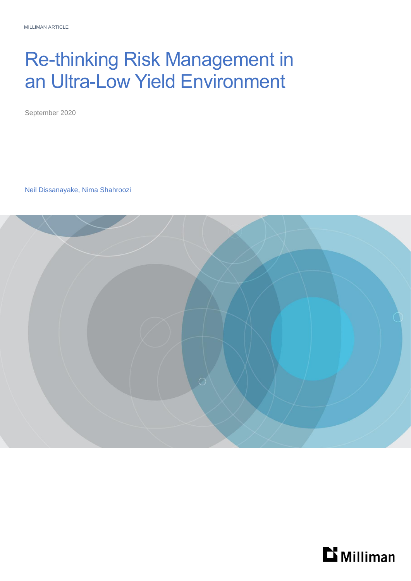# Re-thinking Risk Management in an Ultra-Low Yield Environment

September 2020

Neil Dissanayake, Nima Shahroozi



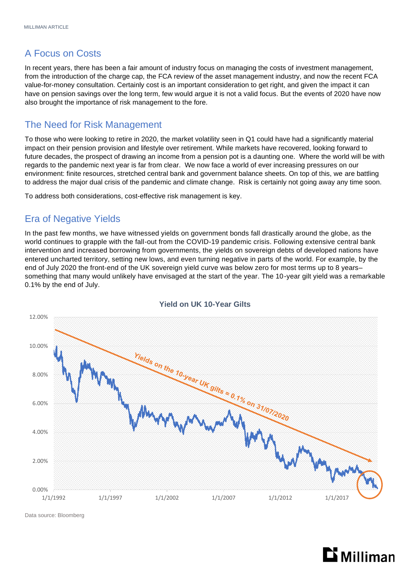## A Focus on Costs

In recent years, there has been a fair amount of industry focus on managing the costs of investment management, from the introduction of the charge cap, the FCA review of the asset management industry, and now the recent FCA value-for-money consultation. Certainly cost is an important consideration to get right, and given the impact it can have on pension savings over the long term, few would argue it is not a valid focus. But the events of 2020 have now also brought the importance of risk management to the fore.

## The Need for Risk Management

To those who were looking to retire in 2020, the market volatility seen in Q1 could have had a significantly material impact on their pension provision and lifestyle over retirement. While markets have recovered, looking forward to future decades, the prospect of drawing an income from a pension pot is a daunting one. Where the world will be with regards to the pandemic next year is far from clear. We now face a world of ever increasing pressures on our environment: finite resources, stretched central bank and government balance sheets. On top of this, we are battling to address the major dual crisis of the pandemic and climate change. Risk is certainly not going away any time soon.

To address both considerations, cost-effective risk management is key.

## Era of Negative Yields

In the past few months, we have witnessed yields on government bonds fall drastically around the globe, as the world continues to grapple with the fall-out from the COVID-19 pandemic crisis. Following extensive central bank intervention and increased borrowing from governments, the yields on sovereign debts of developed nations have entered uncharted territory, setting new lows, and even turning negative in parts of the world. For example, by the end of July 2020 the front-end of the UK sovereign yield curve was below zero for most terms up to 8 years– something that many would unlikely have envisaged at the start of the year. The 10-year gilt yield was a remarkable 0.1% by the end of July.



#### **Yield on UK 10-Year Gilts**

Data source: Bloomberg

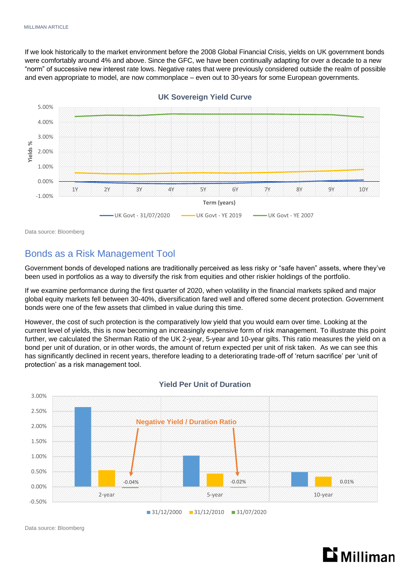If we look historically to the market environment before the 2008 Global Financial Crisis, yields on UK government bonds were comfortably around 4% and above. Since the GFC, we have been continually adapting for over a decade to a new "norm" of successive new interest rate lows. Negative rates that were previously considered outside the realm of possible and even appropriate to model, are now commonplace – even out to 30-years for some European governments.



Data source: Bloomberg

## Bonds as a Risk Management Tool

Government bonds of developed nations are traditionally perceived as less risky or "safe haven" assets, where they've been used in portfolios as a way to diversify the risk from equities and other riskier holdings of the portfolio.

If we examine performance during the first quarter of 2020, when volatility in the financial markets spiked and major global equity markets fell between 30-40%, diversification fared well and offered some decent protection. Government bonds were one of the few assets that climbed in value during this time.

However, the cost of such protection is the comparatively low yield that you would earn over time. Looking at the current level of yields, this is now becoming an increasingly expensive form of risk management. To illustrate this point further, we calculated the Sherman Ratio of the UK 2-year, 5-year and 10-year gilts. This ratio measures the yield on a bond per unit of duration, or in other words, the amount of return expected per unit of risk taken. As we can see this has significantly declined in recent years, therefore leading to a deteriorating trade-off of 'return sacrifice' per 'unit of protection' as a risk management tool.



#### **Yield Per Unit of Duration**

Data source: Bloomberg

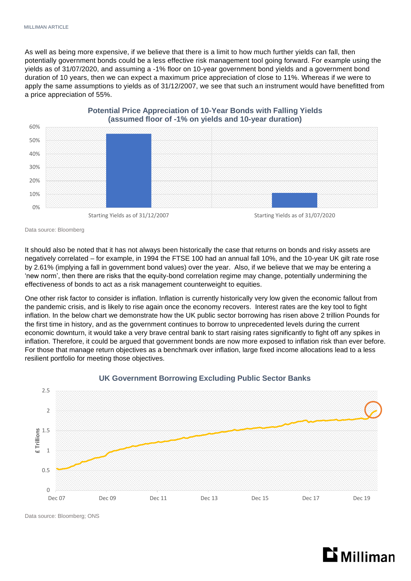As well as being more expensive, if we believe that there is a limit to how much further yields can fall, then potentially government bonds could be a less effective risk management tool going forward. For example using the yields as of 31/07/2020, and assuming a -1% floor on 10-year government bond yields and a government bond duration of 10 years, then we can expect a maximum price appreciation of close to 11%. Whereas if we were to apply the same assumptions to yields as of 31/12/2007, we see that such an instrument would have benefitted from a price appreciation of 55%.



**Potential Price Appreciation of 10-Year Bonds with Falling Yields** 

Data source: Bloomberg

It should also be noted that it has not always been historically the case that returns on bonds and risky assets are negatively correlated – for example, in 1994 the FTSE 100 had an annual fall 10%, and the 10-year UK gilt rate rose by 2.61% (implying a fall in government bond values) over the year. Also, if we believe that we may be entering a 'new norm', then there are risks that the equity-bond correlation regime may change, potentially undermining the effectiveness of bonds to act as a risk management counterweight to equities.

One other risk factor to consider is inflation. Inflation is currently historically very low given the economic fallout from the pandemic crisis, and is likely to rise again once the economy recovers. Interest rates are the key tool to fight inflation. In the below chart we demonstrate how the UK public sector borrowing has risen above 2 trillion Pounds for the first time in history, and as the government continues to borrow to unprecedented levels during the current economic downturn, it would take a very brave central bank to start raising rates significantly to fight off any spikes in inflation. Therefore, it could be argued that government bonds are now more exposed to inflation risk than ever before. For those that manage return objectives as a benchmark over inflation, large fixed income allocations lead to a less resilient portfolio for meeting those objectives.



#### **UK Government Borrowing Excluding Public Sector Banks**

Data source: Bloomberg; ONS

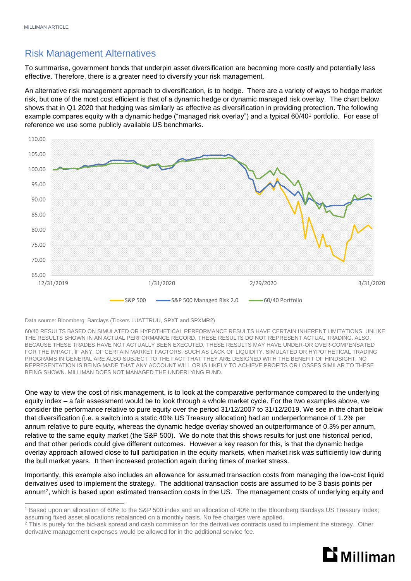## Risk Management Alternatives

To summarise, government bonds that underpin asset diversification are becoming more costly and potentially less effective. Therefore, there is a greater need to diversify your risk management.

An alternative risk management approach to diversification, is to hedge. There are a variety of ways to hedge market risk, but one of the most cost efficient is that of a dynamic hedge or dynamic managed risk overlay. The chart below shows that in Q1 2020 that hedging was similarly as effective as diversification in providing protection. The following example compares equity with a dynamic hedge ("managed risk overlay") and a typical 60/401 portfolio. For ease of reference we use some publicly available US benchmarks.



Data source: Bloomberg; Barclays (Tickers LUATTRUU, SPXT and SPXMR2)

60/40 RESULTS BASED ON SIMULATED OR HYPOTHETICAL PERFORMANCE RESULTS HAVE CERTAIN INHERENT LIMITATIONS. UNLIKE THE RESULTS SHOWN IN AN ACTUAL PERFORMANCE RECORD, THESE RESULTS DO NOT REPRESENT ACTUAL TRADING. ALSO, BECAUSE THESE TRADES HAVE NOT ACTUALLY BEEN EXECUTED, THESE RESULTS MAY HAVE UNDER-OR OVER-COMPENSATED FOR THE IMPACT, IF ANY, OF CERTAIN MARKET FACTORS, SUCH AS LACK OF LIQUIDITY. SIMULATED OR HYPOTHETICAL TRADING PROGRAMS IN GENERAL ARE ALSO SUBJECT TO THE FACT THAT THEY ARE DESIGNED WITH THE BENEFIT OF HINDSIGHT. NO REPRESENTATION IS BEING MADE THAT ANY ACCOUNT WILL OR IS LIKELY TO ACHIEVE PROFITS OR LOSSES SIMILAR TO THESE BEING SHOWN. MILLIMAN DOES NOT MANAGED THE UNDERLYING FUND.

One way to view the cost of risk management, is to look at the comparative performance compared to the underlying equity index – a fair assessment would be to look through a whole market cycle. For the two examples above, we consider the performance relative to pure equity over the period 31/12/2007 to 31/12/2019. We see in the chart below that diversification (i.e. a switch into a static 40% US Treasury allocation) had an underperformance of 1.2% per annum relative to pure equity, whereas the dynamic hedge overlay showed an outperformance of 0.3% per annum, relative to the same equity market (the S&P 500). We do note that this shows results for just one historical period, and that other periods could give different outcomes. However a key reason for this, is that the dynamic hedge overlay approach allowed close to full participation in the equity markets, when market risk was sufficiently low during the bull market years. It then increased protection again during times of market stress.

Importantly, this example also includes an allowance for assumed transaction costs from managing the low-cost liquid derivatives used to implement the strategy. The additional transaction costs are assumed to be 3 basis points per annum<sup>2</sup> , which is based upon estimated transaction costs in the US. The management costs of underlying equity and

<sup>&</sup>lt;sup>2</sup> This is purely for the bid-ask spread and cash commission for the derivatives contracts used to implement the strategy. Other derivative management expenses would be allowed for in the additional service fee.



<sup>1</sup> Based upon an allocation of 60% to the S&P 500 index and an allocation of 40% to the Bloomberg Barclays US Treasury Index; assuming fixed asset allocations rebalanced on a monthly basis. No fee charges were applied.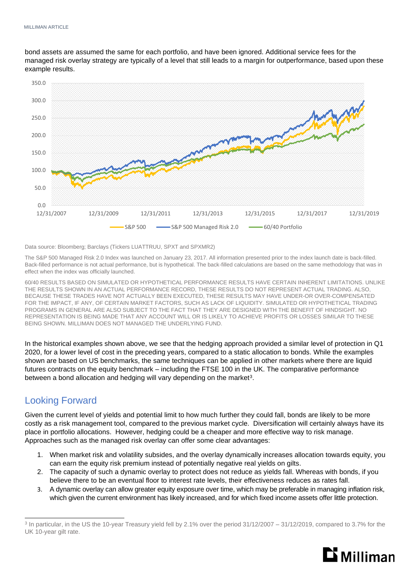bond assets are assumed the same for each portfolio, and have been ignored. Additional service fees for the managed risk overlay strategy are typically of a level that still leads to a margin for outperformance, based upon these example results.



Data source: Bloomberg; Barclays (Tickers LUATTRUU, SPXT and SPXMR2)

The S&P 500 Managed Risk 2.0 Index was launched on January 23, 2017. All information presented prior to the index launch date is back-filled. Back-filled performance is not actual performance, but is hypothetical. The back-filled calculations are based on the same methodology that was in effect when the index was officially launched.

60/40 RESULTS BASED ON SIMULATED OR HYPOTHETICAL PERFORMANCE RESULTS HAVE CERTAIN INHERENT LIMITATIONS. UNLIKE THE RESULTS SHOWN IN AN ACTUAL PERFORMANCE RECORD, THESE RESULTS DO NOT REPRESENT ACTUAL TRADING. ALSO, BECAUSE THESE TRADES HAVE NOT ACTUALLY BEEN EXECUTED, THESE RESULTS MAY HAVE UNDER-OR OVER-COMPENSATED FOR THE IMPACT, IF ANY, OF CERTAIN MARKET FACTORS, SUCH AS LACK OF LIQUIDITY. SIMULATED OR HYPOTHETICAL TRADING PROGRAMS IN GENERAL ARE ALSO SUBJECT TO THE FACT THAT THEY ARE DESIGNED WITH THE BENEFIT OF HINDSIGHT. NO REPRESENTATION IS BEING MADE THAT ANY ACCOUNT WILL OR IS LIKELY TO ACHIEVE PROFITS OR LOSSES SIMILAR TO THESE BEING SHOWN. MILLIMAN DOES NOT MANAGED THE UNDERLYING FUND.

In the historical examples shown above, we see that the hedging approach provided a similar level of protection in Q1 2020, for a lower level of cost in the preceding years, compared to a static allocation to bonds. While the examples shown are based on US benchmarks, the same techniques can be applied in other markets where there are liquid futures contracts on the equity benchmark – including the FTSE 100 in the UK. The comparative performance between a bond allocation and hedging will vary depending on the market<sup>3</sup>.

## Looking Forward

Given the current level of yields and potential limit to how much further they could fall, bonds are likely to be more costly as a risk management tool, compared to the previous market cycle. Diversification will certainly always have its place in portfolio allocations. However, hedging could be a cheaper and more effective way to risk manage. Approaches such as the managed risk overlay can offer some clear advantages:

- 1. When market risk and volatility subsides, and the overlay dynamically increases allocation towards equity, you can earn the equity risk premium instead of potentially negative real yields on gilts.
- 2. The capacity of such a dynamic overlay to protect does not reduce as yields fall. Whereas with bonds, if you believe there to be an eventual floor to interest rate levels, their effectiveness reduces as rates fall.
- 3. A dynamic overlay can allow greater equity exposure over time, which may be preferable in managing inflation risk, which given the current environment has likely increased, and for which fixed income assets offer little protection.

<sup>&</sup>lt;sup>3</sup> In particular, in the US the 10-year Treasury yield fell by 2.1% over the period 31/12/2007 – 31/12/2019, compared to 3.7% for the UK 10-year gilt rate.